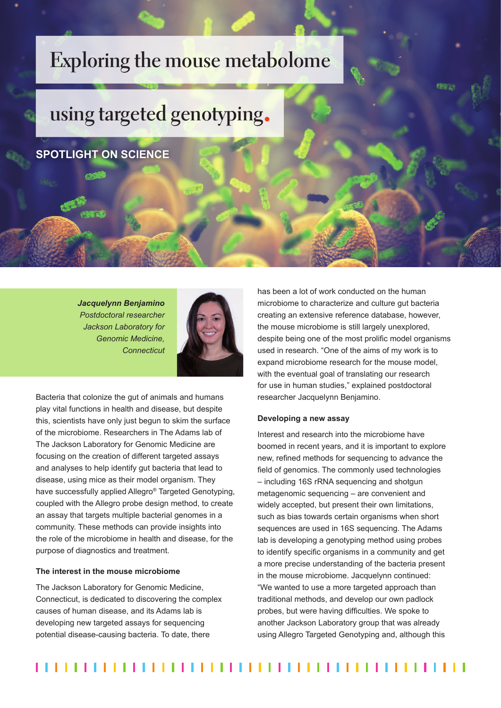## **Exploring the mouse metabolome**

# **using targeted genotyping**

### **SPOTLIGHT ON SCIENCE**

*Jacquelynn Benjamino Postdoctoral researcher Jackson Laboratory for Genomic Medicine, Connecticut*



Bacteria that colonize the gut of animals and humans play vital functions in health and disease, but despite this, scientists have only just begun to skim the surface of the microbiome. Researchers in The Adams lab of The Jackson Laboratory for Genomic Medicine are focusing on the creation of different targeted assays and analyses to help identify gut bacteria that lead to disease, using mice as their model organism. They have successfully applied Allegro® Targeted Genotyping, coupled with the Allegro probe design method, to create an assay that targets multiple bacterial genomes in a community. These methods can provide insights into the role of the microbiome in health and disease, for the purpose of diagnostics and treatment.

#### **The interest in the mouse microbiome**

The Jackson Laboratory for Genomic Medicine, Connecticut, is dedicated to discovering the complex causes of human disease, and its Adams lab is developing new targeted assays for sequencing potential disease-causing bacteria. To date, there

has been a lot of work conducted on the human microbiome to characterize and culture gut bacteria creating an extensive reference database, however, the mouse microbiome is still largely unexplored, despite being one of the most prolific model organisms used in research. "One of the aims of my work is to expand microbiome research for the mouse model, with the eventual goal of translating our research for use in human studies," explained postdoctoral researcher Jacquelynn Benjamino.

#### **Developing a new assay**

Interest and research into the microbiome have boomed in recent years, and it is important to explore new, refined methods for sequencing to advance the field of genomics. The commonly used technologies – including 16S rRNA sequencing and shotgun metagenomic sequencing – are convenient and widely accepted, but present their own limitations, such as bias towards certain organisms when short sequences are used in 16S sequencing. The Adams lab is developing a genotyping method using probes to identify specific organisms in a community and get a more precise understanding of the bacteria present in the mouse microbiome. Jacquelynn continued: "We wanted to use a more targeted approach than traditional methods, and develop our own padlock probes, but were having difficulties. We spoke to another Jackson Laboratory group that was already using Allegro Targeted Genotyping and, although this